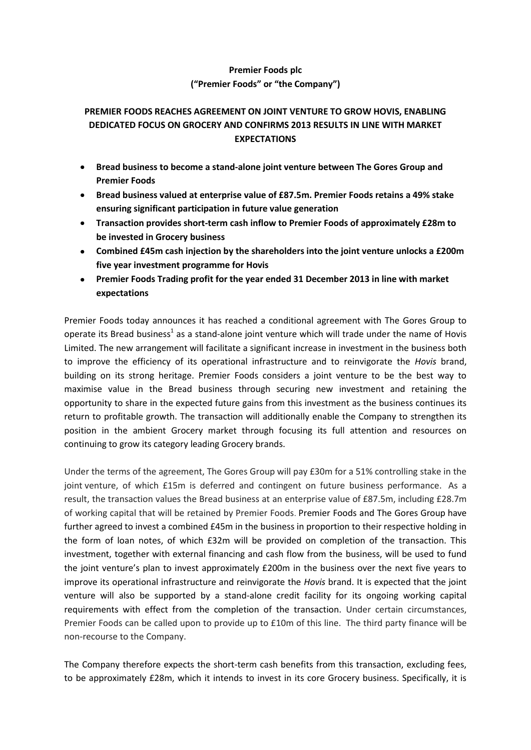## **Premier Foods plc ("Premier Foods" or "the Company")**

# **PREMIER FOODS REACHES AGREEMENT ON JOINT VENTURE TO GROW HOVIS, ENABLING DEDICATED FOCUS ON GROCERY AND CONFIRMS 2013 RESULTS IN LINE WITH MARKET EXPECTATIONS**

- **Bread business to become a stand-alone joint venture between The Gores Group and Premier Foods**
- **Bread business valued at enterprise value of £87.5m. Premier Foods retains a 49% stake ensuring significant participation in future value generation**
- **Transaction provides short-term cash inflow to Premier Foods of approximately £28m to be invested in Grocery business**
- **Combined £45m cash injection by the shareholders into the joint venture unlocks a £200m five year investment programme for Hovis**
- **Premier Foods Trading profit for the year ended 31 December 2013 in line with market expectations**

Premier Foods today announces it has reached a conditional agreement with The Gores Group to operate its Bread business<sup>1</sup> as a stand-alone joint venture which will trade under the name of Hovis Limited. The new arrangement will facilitate a significant increase in investment in the business both to improve the efficiency of its operational infrastructure and to reinvigorate the *Hovis* brand, building on its strong heritage. Premier Foods considers a joint venture to be the best way to maximise value in the Bread business through securing new investment and retaining the opportunity to share in the expected future gains from this investment as the business continues its return to profitable growth. The transaction will additionally enable the Company to strengthen its position in the ambient Grocery market through focusing its full attention and resources on continuing to grow its category leading Grocery brands.

Under the terms of the agreement, The Gores Group will pay £30m for a 51% controlling stake in the joint venture, of which £15m is deferred and contingent on future business performance. As a result, the transaction values the Bread business at an enterprise value of £87.5m, including £28.7m of working capital that will be retained by Premier Foods. Premier Foods and The Gores Group have further agreed to invest a combined £45m in the business in proportion to their respective holding in the form of loan notes, of which £32m will be provided on completion of the transaction. This investment, together with external financing and cash flow from the business, will be used to fund the joint venture's plan to invest approximately £200m in the business over the next five years to improve its operational infrastructure and reinvigorate the *Hovis* brand. It is expected that the joint venture will also be supported by a stand-alone credit facility for its ongoing working capital requirements with effect from the completion of the transaction. Under certain circumstances, Premier Foods can be called upon to provide up to £10m of this line. The third party finance will be non-recourse to the Company.

The Company therefore expects the short-term cash benefits from this transaction, excluding fees, to be approximately £28m, which it intends to invest in its core Grocery business. Specifically, it is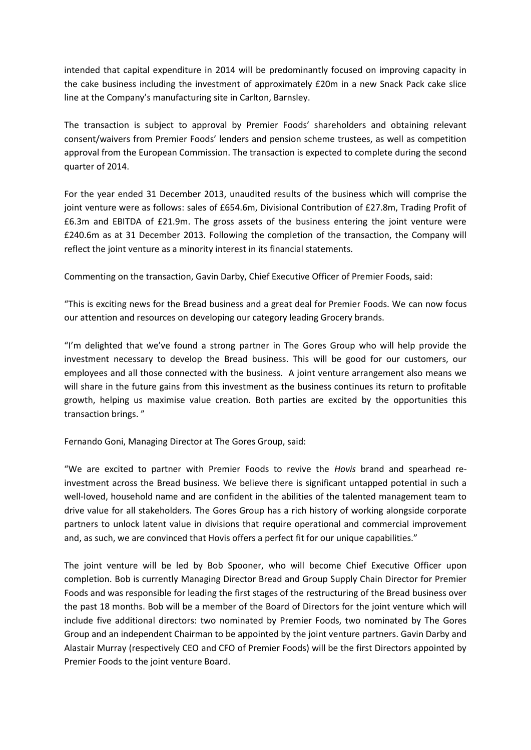intended that capital expenditure in 2014 will be predominantly focused on improving capacity in the cake business including the investment of approximately £20m in a new Snack Pack cake slice line at the Company's manufacturing site in Carlton, Barnsley.

The transaction is subject to approval by Premier Foods' shareholders and obtaining relevant consent/waivers from Premier Foods' lenders and pension scheme trustees, as well as competition approval from the European Commission. The transaction is expected to complete during the second quarter of 2014.

For the year ended 31 December 2013, unaudited results of the business which will comprise the joint venture were as follows: sales of £654.6m, Divisional Contribution of £27.8m, Trading Profit of £6.3m and EBITDA of £21.9m. The gross assets of the business entering the joint venture were £240.6m as at 31 December 2013. Following the completion of the transaction, the Company will reflect the joint venture as a minority interest in its financial statements.

Commenting on the transaction, Gavin Darby, Chief Executive Officer of Premier Foods, said:

"This is exciting news for the Bread business and a great deal for Premier Foods. We can now focus our attention and resources on developing our category leading Grocery brands.

"I'm delighted that we've found a strong partner in The Gores Group who will help provide the investment necessary to develop the Bread business. This will be good for our customers, our employees and all those connected with the business. A joint venture arrangement also means we will share in the future gains from this investment as the business continues its return to profitable growth, helping us maximise value creation. Both parties are excited by the opportunities this transaction brings. "

Fernando Goni, Managing Director at The Gores Group, said:

"We are excited to partner with Premier Foods to revive the *Hovis* brand and spearhead reinvestment across the Bread business. We believe there is significant untapped potential in such a well-loved, household name and are confident in the abilities of the talented management team to drive value for all stakeholders. The Gores Group has a rich history of working alongside corporate partners to unlock latent value in divisions that require operational and commercial improvement and, as such, we are convinced that Hovis offers a perfect fit for our unique capabilities."

The joint venture will be led by Bob Spooner, who will become Chief Executive Officer upon completion. Bob is currently Managing Director Bread and Group Supply Chain Director for Premier Foods and was responsible for leading the first stages of the restructuring of the Bread business over the past 18 months. Bob will be a member of the Board of Directors for the joint venture which will include five additional directors: two nominated by Premier Foods, two nominated by The Gores Group and an independent Chairman to be appointed by the joint venture partners. Gavin Darby and Alastair Murray (respectively CEO and CFO of Premier Foods) will be the first Directors appointed by Premier Foods to the joint venture Board.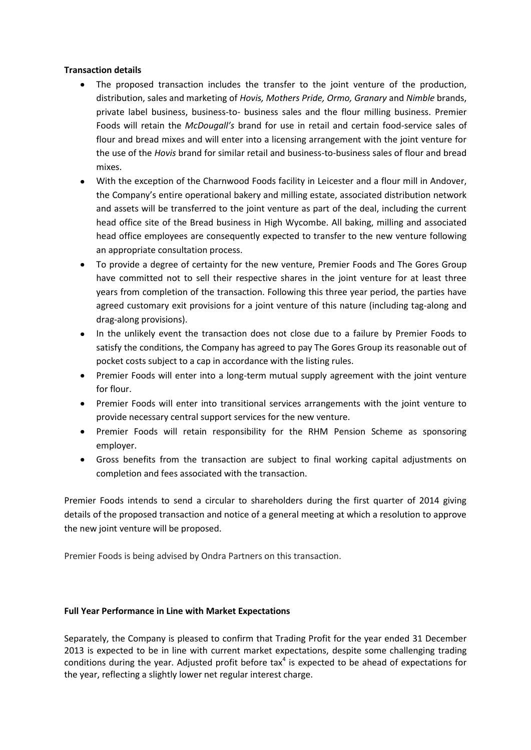### **Transaction details**

- The proposed transaction includes the transfer to the joint venture of the production,  $\bullet$ distribution, sales and marketing of *Hovis, Mothers Pride, Ormo, Granary* and *Nimble* brands, private label business, business-to- business sales and the flour milling business. Premier Foods will retain the *McDougall's* brand for use in retail and certain food-service sales of flour and bread mixes and will enter into a licensing arrangement with the joint venture for the use of the *Hovis* brand for similar retail and business-to-business sales of flour and bread mixes.
- With the exception of the Charnwood Foods facility in Leicester and a flour mill in Andover, the Company's entire operational bakery and milling estate, associated distribution network and assets will be transferred to the joint venture as part of the deal, including the current head office site of the Bread business in High Wycombe. All baking, milling and associated head office employees are consequently expected to transfer to the new venture following an appropriate consultation process.
- To provide a degree of certainty for the new venture, Premier Foods and The Gores Group have committed not to sell their respective shares in the joint venture for at least three years from completion of the transaction. Following this three year period, the parties have agreed customary exit provisions for a joint venture of this nature (including tag-along and drag-along provisions).
- In the unlikely event the transaction does not close due to a failure by Premier Foods to satisfy the conditions, the Company has agreed to pay The Gores Group its reasonable out of pocket costs subject to a cap in accordance with the listing rules.
- Premier Foods will enter into a long-term mutual supply agreement with the joint venture  $\bullet$ for flour.
- Premier Foods will enter into transitional services arrangements with the joint venture to provide necessary central support services for the new venture.
- Premier Foods will retain responsibility for the RHM Pension Scheme as sponsoring employer.
- Gross benefits from the transaction are subject to final working capital adjustments on completion and fees associated with the transaction.

Premier Foods intends to send a circular to shareholders during the first quarter of 2014 giving details of the proposed transaction and notice of a general meeting at which a resolution to approve the new joint venture will be proposed.

Premier Foods is being advised by Ondra Partners on this transaction.

### **Full Year Performance in Line with Market Expectations**

Separately, the Company is pleased to confirm that Trading Profit for the year ended 31 December 2013 is expected to be in line with current market expectations, despite some challenging trading conditions during the year. Adjusted profit before tax $4$  is expected to be ahead of expectations for the year, reflecting a slightly lower net regular interest charge.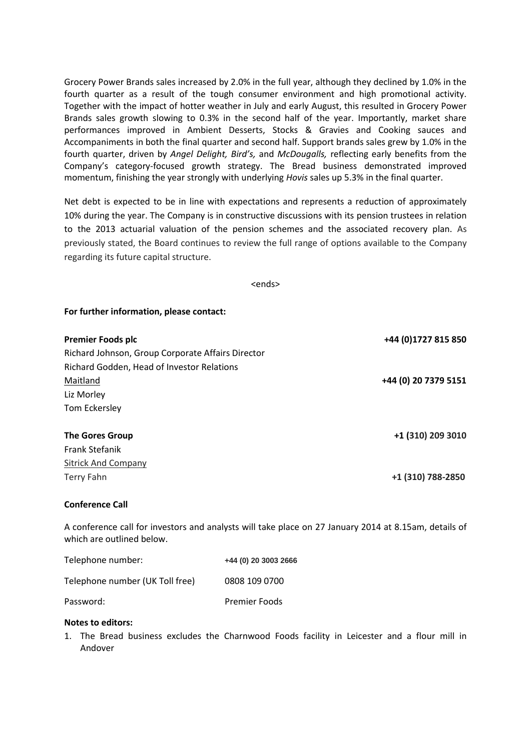Grocery Power Brands sales increased by 2.0% in the full year, although they declined by 1.0% in the fourth quarter as a result of the tough consumer environment and high promotional activity. Together with the impact of hotter weather in July and early August, this resulted in Grocery Power Brands sales growth slowing to 0.3% in the second half of the year. Importantly, market share performances improved in Ambient Desserts, Stocks & Gravies and Cooking sauces and Accompaniments in both the final quarter and second half. Support brands sales grew by 1.0% in the fourth quarter, driven by *Angel Delight, Bird's,* and *McDougalls,* reflecting early benefits from the Company's category-focused growth strategy. The Bread business demonstrated improved momentum, finishing the year strongly with underlying *Hovis* sales up 5.3% in the final quarter.

Net debt is expected to be in line with expectations and represents a reduction of approximately 10% during the year. The Company is in constructive discussions with its pension trustees in relation to the 2013 actuarial valuation of the pension schemes and the associated recovery plan. As previously stated, the Board continues to review the full range of options available to the Company regarding its future capital structure.

<ends>

**For further information, please contact:**

| <b>Premier Foods plc</b>                          | +44 (0)1727 815 850  |
|---------------------------------------------------|----------------------|
| Richard Johnson, Group Corporate Affairs Director |                      |
| Richard Godden, Head of Investor Relations        |                      |
| Maitland                                          | +44 (0) 20 7379 5151 |
| Liz Morley                                        |                      |
| Tom Eckersley                                     |                      |
| <b>The Gores Group</b>                            | +1 (310) 209 3010    |
| <b>Frank Stefanik</b>                             |                      |
| <b>Sitrick And Company</b>                        |                      |
| Terry Fahn                                        | +1 (310) 788-2850    |

#### **Conference Call**

A conference call for investors and analysts will take place on 27 January 2014 at 8.15am, details of which are outlined below.

| Telephone number:               | +44 (0) 20 3003 2666 |
|---------------------------------|----------------------|
| Telephone number (UK Toll free) | 0808 109 0700        |
| Password:                       | <b>Premier Foods</b> |

#### **Notes to editors:**

1. The Bread business excludes the Charnwood Foods facility in Leicester and a flour mill in Andover